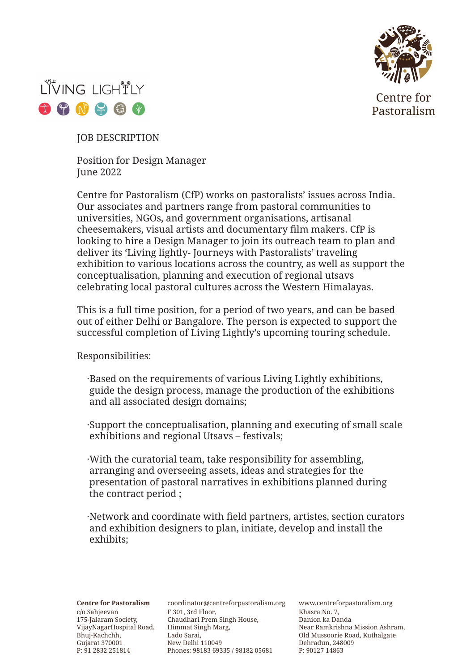

Centre for Pastoralism



JOB DESCRIPTION

Position for Design Manager June 2022

Centre for Pastoralism (CfP) works on pastoralists' issues across India. Our associates and partners range from pastoral communities to universities, NGOs, and government organisations, artisanal cheesemakers, visual artists and documentary film makers. CfP is looking to hire a Design Manager to join its outreach team to plan and deliver its 'Living lightly- Journeys with Pastoralists' traveling exhibition to various locations across the country, as well as support the conceptualisation, planning and execution of regional utsavs celebrating local pastoral cultures across the Western Himalayas.

This is a full time position, for a period of two years, and can be based out of either Delhi or Bangalore. The person is expected to support the successful completion of Living Lightly's upcoming touring schedule.

Responsibilities:

- ·Based on the requirements of various Living Lightly exhibitions, guide the design process, manage the production of the exhibitions and all associated design domains;
- ·Support the conceptualisation, planning and executing of small scale exhibitions and regional Utsavs – festivals;
- ·With the curatorial team, take responsibility for assembling, arranging and overseeing assets, ideas and strategies for the presentation of pastoral narratives in exhibitions planned during the contract period ;
- ·Network and coordinate with field partners, artistes, section curators and exhibition designers to plan, initiate, develop and install the exhibits;

VijayNagarHospital Road, Himmat Singh Marg, c/o Sahjeevan 175-Jalaram Society, Bhuj-Kachchh, Gujarat 370001 P: 91 2832 251814

F 301, 3rd Floor, Chaudhari Prem Singh House, Lado Sarai, New Delhi 110049 Phones: 98183 69335 / 98182 05681 **Centre for Pastoralism** coordinator@centreforpastoralism.org

www.centreforpastoralism.org Khasra No. 7, Danion ka Danda Near Ramkrishna Mission Ashram, Old Mussoorie Road, Kuthalgate Dehradun, 248009 P: 90127 14863